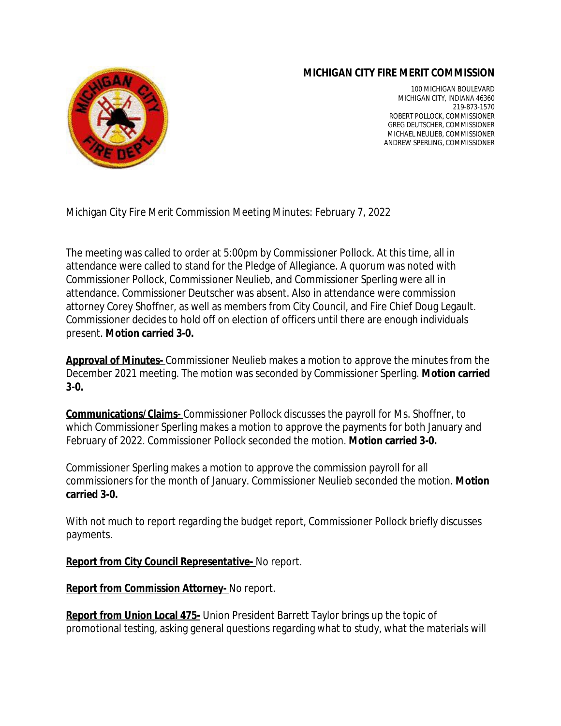## **MICHIGAN CITY FIRE MERIT COMMISSION**



100 MICHIGAN BOULEVARD MICHIGAN CITY, INDIANA 46360 219-873-1570 ROBERT POLLOCK, COMMISSIONER GREG DEUTSCHER, COMMISSIONER MICHAEL NEULIEB, COMMISSIONER ANDREW SPERLING, COMMISSIONER

Michigan City Fire Merit Commission Meeting Minutes: February 7, 2022

The meeting was called to order at 5:00pm by Commissioner Pollock. At this time, all in attendance were called to stand for the Pledge of Allegiance. A quorum was noted with Commissioner Pollock, Commissioner Neulieb, and Commissioner Sperling were all in attendance. Commissioner Deutscher was absent. Also in attendance were commission attorney Corey Shoffner, as well as members from City Council, and Fire Chief Doug Legault. Commissioner decides to hold off on election of officers until there are enough individuals present. **Motion carried 3-0.**

**Approval of Minutes-** Commissioner Neulieb makes a motion to approve the minutes from the December 2021 meeting. The motion was seconded by Commissioner Sperling. **Motion carried 3-0.**

**Communications/Claims-** Commissioner Pollock discusses the payroll for Ms. Shoffner, to which Commissioner Sperling makes a motion to approve the payments for both January and February of 2022. Commissioner Pollock seconded the motion. **Motion carried 3-0.**

Commissioner Sperling makes a motion to approve the commission payroll for all commissioners for the month of January. Commissioner Neulieb seconded the motion. **Motion carried 3-0.** 

With not much to report regarding the budget report, Commissioner Pollock briefly discusses payments.

**Report from City Council Representative-** No report.

**Report from Commission Attorney-** No report.

**Report from Union Local 475-** Union President Barrett Taylor brings up the topic of promotional testing, asking general questions regarding what to study, what the materials will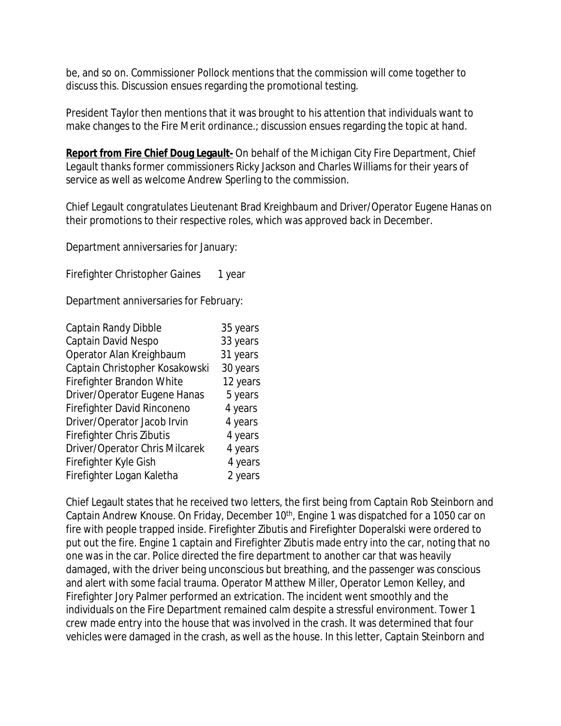be, and so on. Commissioner Pollock mentions that the commission will come together to discuss this. Discussion ensues regarding the promotional testing.

President Taylor then mentions that it was brought to his attention that individuals want to make changes to the Fire Merit ordinance.; discussion ensues regarding the topic at hand.

**Report from Fire Chief Doug Legault-** On behalf of the Michigan City Fire Department, Chief Legault thanks former commissioners Ricky Jackson and Charles Williams for their years of service as well as welcome Andrew Sperling to the commission.

Chief Legault congratulates Lieutenant Brad Kreighbaum and Driver/Operator Eugene Hanas on their promotions to their respective roles, which was approved back in December.

Department anniversaries for January:

Firefighter Christopher Gaines 1 year

Department anniversaries for February:

| Captain Randy Dibble           | 35 years |
|--------------------------------|----------|
| Captain David Nespo            | 33 years |
| Operator Alan Kreighbaum       | 31 years |
| Captain Christopher Kosakowski | 30 years |
| Firefighter Brandon White      | 12 years |
| Driver/Operator Eugene Hanas   | 5 years  |
| Firefighter David Rinconeno    | 4 years  |
| Driver/Operator Jacob Irvin    | 4 years  |
| Firefighter Chris Zibutis      | 4 years  |
| Driver/Operator Chris Milcarek | 4 years  |
| Firefighter Kyle Gish          | 4 years  |
| Firefighter Logan Kaletha      | 2 years  |
|                                |          |

Chief Legault states that he received two letters, the first being from Captain Rob Steinborn and Captain Andrew Knouse. On Friday, December 10th, Engine 1 was dispatched for a 1050 car on fire with people trapped inside. Firefighter Zibutis and Firefighter Doperalski were ordered to put out the fire. Engine 1 captain and Firefighter Zibutis made entry into the car, noting that no one was in the car. Police directed the fire department to another car that was heavily damaged, with the driver being unconscious but breathing, and the passenger was conscious and alert with some facial trauma. Operator Matthew Miller, Operator Lemon Kelley, and Firefighter Jory Palmer performed an extrication. The incident went smoothly and the individuals on the Fire Department remained calm despite a stressful environment. Tower 1 crew made entry into the house that was involved in the crash. It was determined that four vehicles were damaged in the crash, as well as the house. In this letter, Captain Steinborn and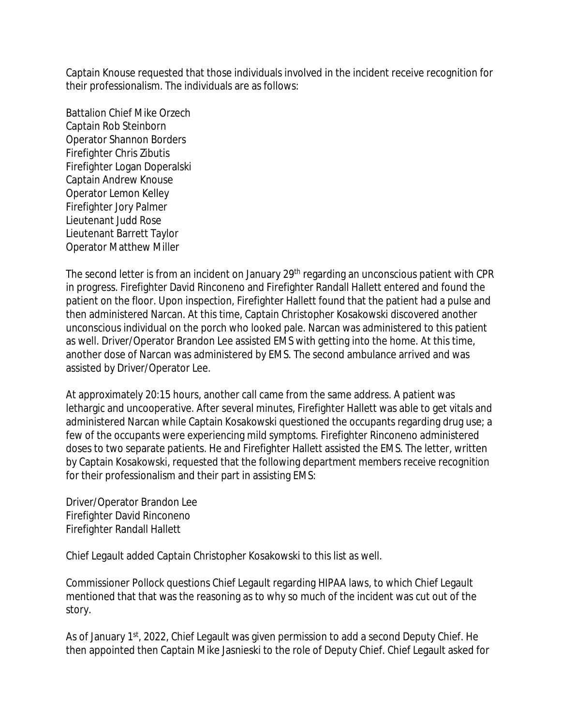Captain Knouse requested that those individuals involved in the incident receive recognition for their professionalism. The individuals are as follows:

Battalion Chief Mike Orzech Captain Rob Steinborn Operator Shannon Borders Firefighter Chris Zibutis Firefighter Logan Doperalski Captain Andrew Knouse Operator Lemon Kelley Firefighter Jory Palmer Lieutenant Judd Rose Lieutenant Barrett Taylor Operator Matthew Miller

The second letter is from an incident on January 29<sup>th</sup> regarding an unconscious patient with CPR in progress. Firefighter David Rinconeno and Firefighter Randall Hallett entered and found the patient on the floor. Upon inspection, Firefighter Hallett found that the patient had a pulse and then administered Narcan. At this time, Captain Christopher Kosakowski discovered another unconscious individual on the porch who looked pale. Narcan was administered to this patient as well. Driver/Operator Brandon Lee assisted EMS with getting into the home. At this time, another dose of Narcan was administered by EMS. The second ambulance arrived and was assisted by Driver/Operator Lee.

At approximately 20:15 hours, another call came from the same address. A patient was lethargic and uncooperative. After several minutes, Firefighter Hallett was able to get vitals and administered Narcan while Captain Kosakowski questioned the occupants regarding drug use; a few of the occupants were experiencing mild symptoms. Firefighter Rinconeno administered doses to two separate patients. He and Firefighter Hallett assisted the EMS. The letter, written by Captain Kosakowski, requested that the following department members receive recognition for their professionalism and their part in assisting EMS:

Driver/Operator Brandon Lee Firefighter David Rinconeno Firefighter Randall Hallett

Chief Legault added Captain Christopher Kosakowski to this list as well.

Commissioner Pollock questions Chief Legault regarding HIPAA laws, to which Chief Legault mentioned that that was the reasoning as to why so much of the incident was cut out of the story.

As of January 1<sup>st</sup>, 2022, Chief Legault was given permission to add a second Deputy Chief. He then appointed then Captain Mike Jasnieski to the role of Deputy Chief. Chief Legault asked for